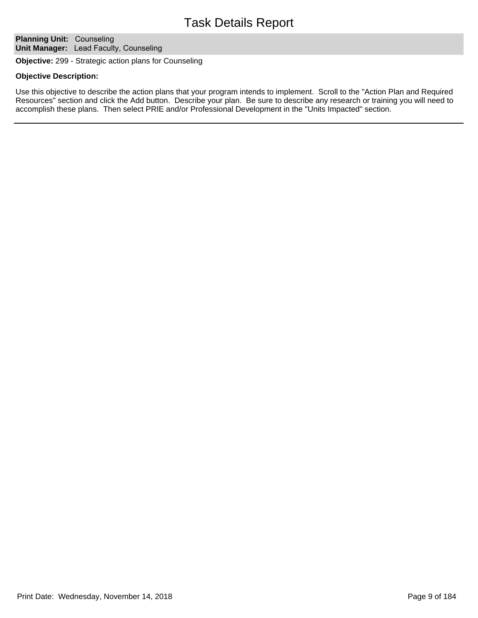# Task Details Report

**Planning Unit: Counseling Unit Manager:** Lead Faculty, Counseling

**Objective:** 299 - Strategic action plans for Counseling

## **Objective Description:**

Use this objective to describe the action plans that your program intends to implement. Scroll to the "Action Plan and Required Resources" section and click the Add button. Describe your plan. Be sure to describe any research or training you will need to accomplish these plans. Then select PRIE and/or Professional Development in the "Units Impacted" section.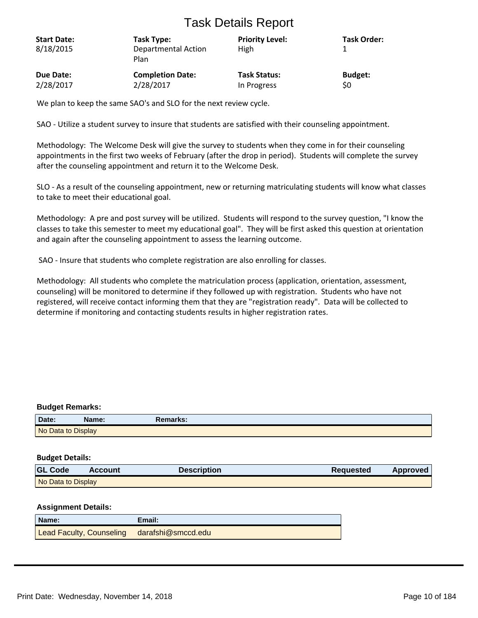# Task Details Report

| <b>Start Date:</b><br>8/18/2015 | Task Type:<br>Departmental Action<br>Plan | <b>Priority Level:</b><br>High | <b>Task Order:</b> |
|---------------------------------|-------------------------------------------|--------------------------------|--------------------|
| Due Date:                       | <b>Completion Date:</b>                   | <b>Task Status:</b>            | <b>Budget:</b>     |
| 2/28/2017                       | 2/28/2017                                 | In Progress                    | \$0                |

We plan to keep the same SAO's and SLO for the next review cycle.

SAO - Utilize a student survey to insure that students are satisfied with their counseling appointment.

Methodology: The Welcome Desk will give the survey to students when they come in for their counseling appointments in the first two weeks of February (after the drop in period). Students will complete the survey after the counseling appointment and return it to the Welcome Desk.

SLO - As a result of the counseling appointment, new or returning matriculating students will know what classes to take to meet their educational goal.

Methodology: A pre and post survey will be utilized. Students will respond to the survey question, "I know the classes to take this semester to meet my educational goal". They will be first asked this question at orientation and again after the counseling appointment to assess the learning outcome.

SAO - Insure that students who complete registration are also enrolling for classes.

Methodology: All students who complete the matriculation process (application, orientation, assessment, counseling) will be monitored to determine if they followed up with registration. Students who have not registered, will receive contact informing them that they are "registration ready". Data will be collected to determine if monitoring and contacting students results in higher registration rates.

## **Budget Remarks:**

| Date:              | Name: | Remarks: |  |
|--------------------|-------|----------|--|
| No Data to Display |       |          |  |

#### **Budget Details:**

| <b>GL Code</b>     | <b>Account</b> | <b>Description</b> | <b>Requested</b> | <b>Approved</b> |
|--------------------|----------------|--------------------|------------------|-----------------|
| No Data to Display |                |                    |                  |                 |

#### **Assignment Details:**

| <b>Name:</b>                                | Email: |
|---------------------------------------------|--------|
| Lead Faculty, Counseling darafshi@smccd.edu |        |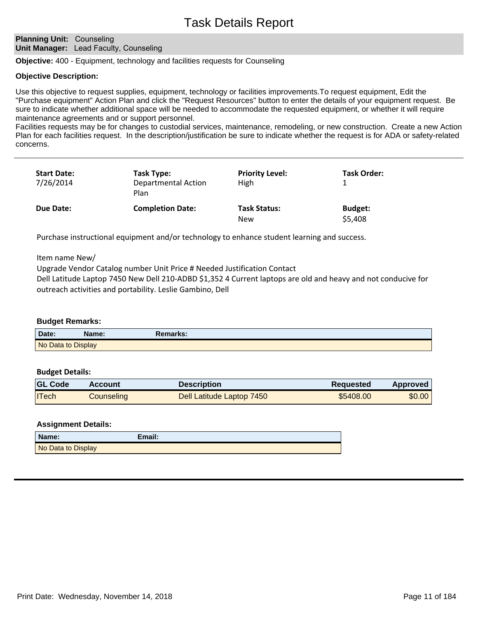## **Planning Unit: Counseling Unit Manager:** Lead Faculty, Counseling

**Objective:** 400 - Equipment, technology and facilities requests for Counseling

# **Objective Description:**

Use this objective to request supplies, equipment, technology or facilities improvements.To request equipment, Edit the "Purchase equipment" Action Plan and click the "Request Resources" button to enter the details of your equipment request. Be sure to indicate whether additional space will be needed to accommodate the requested equipment, or whether it will require maintenance agreements and or support personnel.

Facilities requests may be for changes to custodial services, maintenance, remodeling, or new construction. Create a new Action Plan for each facilities request. In the description/justification be sure to indicate whether the request is for ADA or safety-related concerns.

| <b>Start Date:</b><br>7/26/2014 | Task Type:<br><b>Departmental Action</b><br>Plan | <b>Priority Level:</b><br>High | Task Order:               |  |
|---------------------------------|--------------------------------------------------|--------------------------------|---------------------------|--|
| Due Date:                       | <b>Completion Date:</b>                          | <b>Task Status:</b><br>New     | <b>Budget:</b><br>\$5,408 |  |

Purchase instructional equipment and/or technology to enhance student learning and success.

Item name New/

Upgrade Vendor Catalog number Unit Price # Needed Justification Contact

Dell Latitude Laptop 7450 New Dell 210-ADBD \$1,352 4 Current laptops are old and heavy and not conducive for outreach activities and portability. Leslie Gambino, Dell

#### **Budget Remarks:**

| Date:              | Name: | Remarks: |
|--------------------|-------|----------|
| No Data to Display |       |          |

#### **Budget Details:**

| <b>GL Code</b> | <b>Account</b> | Description               | Reguested | <b>Approved</b> |
|----------------|----------------|---------------------------|-----------|-----------------|
| <b>ITech</b>   | Counseling     | Dell Latitude Laptop 7450 | \$5408.00 | \$0.00          |

# **Assignment Details:**

| Name:              | Email: |
|--------------------|--------|
| No Data to Display |        |